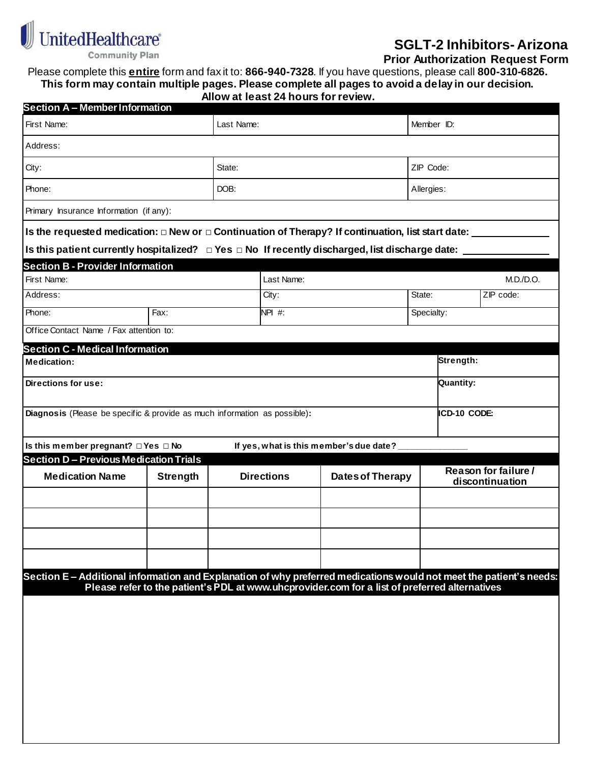

## **SGLT-2 Inhibitors- Arizona**

 **Prior Authorization Request Form**

Please complete this **entire** form and fax it to: **866-940-7328**. If you have questions, please call **800-310-6826. This form may contain multiple pages. Please complete all pages to avoid a delay in our decision. Allow at least 24 hours for review.**

| <b>Section A - Member Information</b>                                                                               |                 |  |                   |                                                                                               |                                         |        |
|---------------------------------------------------------------------------------------------------------------------|-----------------|--|-------------------|-----------------------------------------------------------------------------------------------|-----------------------------------------|--------|
| First Name:                                                                                                         | Last Name:      |  |                   | Member ID:                                                                                    |                                         |        |
| Address:                                                                                                            |                 |  |                   |                                                                                               |                                         |        |
| City:                                                                                                               | State:          |  |                   | ZIP Code:                                                                                     |                                         |        |
| Phone:                                                                                                              | DOB:            |  |                   | Allergies:                                                                                    |                                         |        |
| Primary Insurance Information (if any):                                                                             |                 |  |                   |                                                                                               |                                         |        |
| Is the requested medication: $\Box$ New or $\Box$ Continuation of Therapy? If continuation, list start date:        |                 |  |                   |                                                                                               |                                         |        |
| Is this patient currently hospitalized? $\Box$ Yes $\Box$ No If recently discharged, list discharge date:           |                 |  |                   |                                                                                               |                                         |        |
| <b>Section B-Provider Information</b>                                                                               |                 |  |                   |                                                                                               |                                         |        |
| First Name:                                                                                                         |                 |  | Last Name:        |                                                                                               |                                         | M.D.D. |
| Address:                                                                                                            | City:           |  |                   | State:                                                                                        | ZIP code:                               |        |
| Phone:                                                                                                              | Fax:            |  |                   |                                                                                               | Specialty:                              |        |
| Office Contact Name / Fax attention to:                                                                             |                 |  |                   |                                                                                               |                                         |        |
| <b>Section C - Medical Information</b>                                                                              |                 |  |                   |                                                                                               |                                         |        |
| Strength:<br><b>Medication:</b>                                                                                     |                 |  |                   |                                                                                               |                                         |        |
| Directions for use:                                                                                                 |                 |  |                   |                                                                                               | Quantity:                               |        |
| ICD-10 CODE:<br>Diagnosis (Please be specific & provide as much information as possible):                           |                 |  |                   |                                                                                               |                                         |        |
| Is this member pregnant? □ Yes □ No                                                                                 |                 |  |                   | If yes, what is this member's due date?                                                       |                                         |        |
| <b>Section D-Previous Medication Trials</b>                                                                         |                 |  |                   |                                                                                               |                                         |        |
| <b>Medication Name</b>                                                                                              | <b>Strength</b> |  | <b>Directions</b> | <b>Dates of Therapy</b>                                                                       | Reason for failure /<br>discontinuation |        |
|                                                                                                                     |                 |  |                   |                                                                                               |                                         |        |
|                                                                                                                     |                 |  |                   |                                                                                               |                                         |        |
|                                                                                                                     |                 |  |                   |                                                                                               |                                         |        |
|                                                                                                                     |                 |  |                   |                                                                                               |                                         |        |
| Section E - Additional information and Explanation of why preferred medications would not meet the patient's needs: |                 |  |                   | Please refer to the patient's PDL at www.uhcprovider.com for a list of preferred alternatives |                                         |        |
|                                                                                                                     |                 |  |                   |                                                                                               |                                         |        |
|                                                                                                                     |                 |  |                   |                                                                                               |                                         |        |
|                                                                                                                     |                 |  |                   |                                                                                               |                                         |        |
|                                                                                                                     |                 |  |                   |                                                                                               |                                         |        |
|                                                                                                                     |                 |  |                   |                                                                                               |                                         |        |
|                                                                                                                     |                 |  |                   |                                                                                               |                                         |        |
|                                                                                                                     |                 |  |                   |                                                                                               |                                         |        |
|                                                                                                                     |                 |  |                   |                                                                                               |                                         |        |
|                                                                                                                     |                 |  |                   |                                                                                               |                                         |        |
|                                                                                                                     |                 |  |                   |                                                                                               |                                         |        |